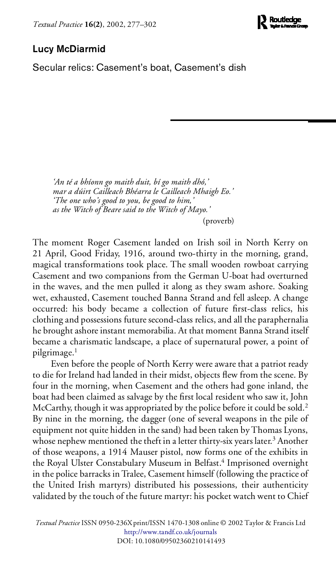

# Lucy McDiarmid

Secular relics: Casement's boat, Casement's dish

*'An té a bhíonn go maith duit, bí go maith dhó,' mar a dúirt Cailleach Bhéarra le Cailleach Mhaigh Eo.' 'The one who's good to you, be good to him,' as the Witch of Beare said to the Witch of Mayo.'* (proverb)

The moment Roger Casement landed on Irish soil in North Kerry on 21 April, Good Friday, 1916, around two-thirty in the morning, grand, magical transformations took place. The small wooden rowboat carrying Casement and two companions from the German U-boat had overturned in the waves, and the men pulled it along as they swam ashore. Soaking wet, exhausted, Casement touched Banna Strand and fell asleep. A change occurred: his body became a collection of future first-class relics, his clothing and possessions future second-class relics, and all the paraphernalia he brought ashore instant memorabilia. At that moment Banna Strand itself became a charismatic landscape, a place of supernatural power, a point of pilgrimage.<sup>1</sup>

Even before the people of North Kerry were aware that a patriot ready to die for Ireland had landed in their midst, objects flew from the scene. By four in the morning, when Casement and the others had gone inland, the boat had been claimed as salvage by the first local resident who saw it, John McCarthy, though it was appropriated by the police before it could be sold.<sup>2</sup> By nine in the morning, the dagger (one of several weapons in the pile of equipment not quite hidden in the sand) had been taken by Thomas Lyons, whose nephew mentioned the theft in a letter thirty-six years later.<sup>3</sup> Another of those weapons, a 1914 Mauser pistol, now forms one of the exhibits in the Royal Ulster Constabulary Museum in Belfast.<sup>4</sup> Imprisoned overnight in the police barracks in Tralee, Casement himself (following the practice of the United Irish martyrs) distributed his possessions, their authenticity validated by the touch of the future martyr: his pocket watch went to Chief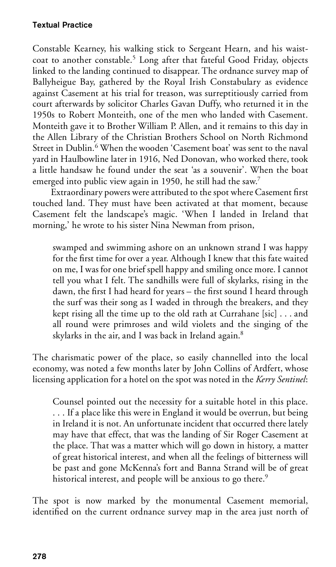Constable Kearney, his walking stick to Sergeant Hearn, and his waistcoat to another constable.<sup>5</sup> Long after that fateful Good Friday, objects linked to the landing continued to disappear. The ordnance survey map of Ballyheigue Bay, gathered by the Royal Irish Constabulary as evidence against Casement at his trial for treason, was surreptitiously carried from court afterwards by solicitor Charles Gavan Duffy, who returned it in the 1950s to Robert Monteith, one of the men who landed with Casement. Monteith gave it to Brother William P. Allen, and it remains to this day in the Allen Library of the Christian Brothers School on North Richmond Street in Dublin.<sup>6</sup> When the wooden 'Casement boat' was sent to the naval yard in Haulbowline later in 1916, Ned Donovan, who worked there, took a little handsaw he found under the seat 'as a souvenir'. When the boat emerged into public view again in 1950, he still had the saw.<sup>7</sup>

Extraordinary powers were attributed to the spot where Casement first touched land. They must have been activated at that moment, because Casement felt the landscape's magic. 'When I landed in Ireland that morning,' he wrote to his sister Nina Newman from prison,

swamped and swimming ashore on an unknown strand I was happy for the first time for over a year. Although I knew that this fate waited on me, I was for one brief spell happy and smiling once more. I cannot tell you what I felt. The sandhills were full of skylarks, rising in the dawn, the first I had heard for years – the first sound I heard through the surf was their song as I waded in through the breakers, and they kept rising all the time up to the old rath at Currahane [sic] . . . and all round were primroses and wild violets and the singing of the skylarks in the air, and I was back in Ireland again.<sup>8</sup>

The charismatic power of the place, so easily channelled into the local economy, was noted a few months later by John Collins of Ardfert, whose licensing application for a hotel on the spot was noted in the *Kerry Sentinel*:

Counsel pointed out the necessity for a suitable hotel in this place. . . . If a place like this were in England it would be overrun, but being in Ireland it is not. An unfortunate incident that occurred there lately may have that effect, that was the landing of Sir Roger Casement at the place. That was a matter which will go down in history, a matter of great historical interest, and when all the feelings of bitterness will be past and gone McKenna's fort and Banna Strand will be of great historical interest, and people will be anxious to go there.<sup>9</sup>

The spot is now marked by the monumental Casement memorial, identified on the current ordnance survey map in the area just north of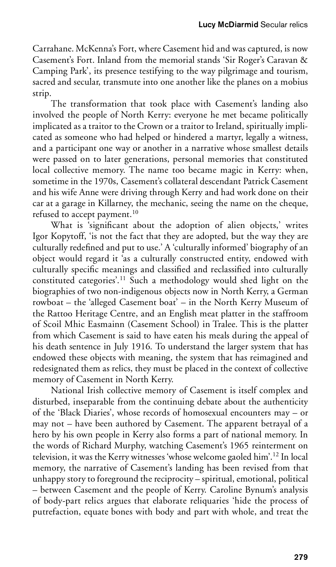Carrahane. McKenna's Fort, where Casement hid and was captured, is now Casement's Fort. Inland from the memorial stands 'Sir Roger's Caravan & Camping Park', its presence testifying to the way pilgrimage and tourism, sacred and secular, transmute into one another like the planes on a mobius strip.

The transformation that took place with Casement's landing also involved the people of North Kerry: everyone he met became politically implicated as a traitor to the Crown or a traitor to Ireland, spiritually implicated as someone who had helped or hindered a martyr, legally a witness, and a participant one way or another in a narrative whose smallest details were passed on to later generations, personal memories that constituted local collective memory. The name too became magic in Kerry: when, sometime in the 1970s, Casement's collateral descendant Patrick Casement and his wife Anne were driving through Kerry and had work done on their car at a garage in Killarney, the mechanic, seeing the name on the cheque, refused to accept payment.<sup>10</sup>

What is 'significant about the adoption of alien objects,' writes Igor Kopytoff, 'is not the fact that they are adopted, but the way they are culturally redefined and put to use.' A 'culturally informed' biography of an object would regard it 'as a culturally constructed entity, endowed with culturally specific meanings and classified and reclassified into culturally constituted categories'.<sup>11</sup> Such a methodology would shed light on the biographies of two non-indigenous objects now in North Kerry, a German rowboat – the 'alleged Casement boat' – in the North Kerry Museum of the Rattoo Heritage Centre, and an English meat platter in the staffroom of Scoil Mhic Easmainn (Casement School) in Tralee. This is the platter from which Casement is said to have eaten his meals during the appeal of his death sentence in July 1916. To understand the larger system that has endowed these objects with meaning, the system that has reimagined and redesignated them as relics, they must be placed in the context of collective memory of Casement in North Kerry.

National Irish collective memory of Casement is itself complex and disturbed, inseparable from the continuing debate about the authenticity of the 'Black Diaries', whose records of homosexual encounters may – or may not – have been authored by Casement. The apparent betrayal of a hero by his own people in Kerry also forms a part of national memory. In the words of Richard Murphy, watching Casement's 1965 reinterment on television, it was the Kerry witnesses 'whose welcome gaoled him'.<sup>12</sup> In local memory, the narrative of Casement's landing has been revised from that unhappy story to foreground the reciprocity – spiritual, emotional, political – between Casement and the people of Kerry. Caroline Bynum's analysis of body-part relics argues that elaborate reliquaries 'hide the process of putrefaction, equate bones with body and part with whole, and treat the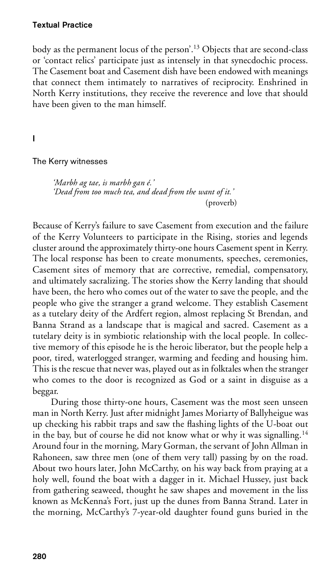body as the permanent locus of the person'.<sup>13</sup> Objects that are second-class or 'contact relics' participate just as intensely in that synecdochic process. The Casement boat and Casement dish have been endowed with meanings that connect them intimately to narratives of reciprocity. Enshrined in North Kerry institutions, they receive the reverence and love that should have been given to the man himself.

I

#### The Kerry witnesses

*'Marbh ag tae, is marbh gan é.' 'Dead from too much tea, and dead from the want of it.'* (proverb)

Because of Kerry's failure to save Casement from execution and the failure of the Kerry Volunteers to participate in the Rising, stories and legends cluster around the approximately thirty-one hours Casement spent in Kerry. The local response has been to create monuments, speeches, ceremonies, Casement sites of memory that are corrective, remedial, compensatory, and ultimately sacralizing. The stories show the Kerry landing that should have been, the hero who comes out of the water to save the people, and the people who give the stranger a grand welcome. They establish Casement as a tutelary deity of the Ardfert region, almost replacing St Brendan, and Banna Strand as a landscape that is magical and sacred. Casement as a tutelary deity is in symbiotic relationship with the local people. In collective memory of this episode he is the heroic liberator, but the people help a poor, tired, waterlogged stranger, warming and feeding and housing him. This is the rescue that never was, played out as in folktales when the stranger who comes to the door is recognized as God or a saint in disguise as a beggar.

During those thirty-one hours, Casement was the most seen unseen man in North Kerry. Just after midnight James Moriarty of Ballyheigue was up checking his rabbit traps and saw the flashing lights of the U-boat out in the bay, but of course he did not know what or why it was signalling.<sup>14</sup> Around four in the morning, Mary Gorman, the servant of John Allman in Rahoneen, saw three men (one of them very tall) passing by on the road. About two hours later, John McCarthy, on his way back from praying at a holy well, found the boat with a dagger in it. Michael Hussey, just back from gathering seaweed, thought he saw shapes and movement in the liss known as McKenna's Fort, just up the dunes from Banna Strand. Later in the morning, McCarthy's 7-year-old daughter found guns buried in the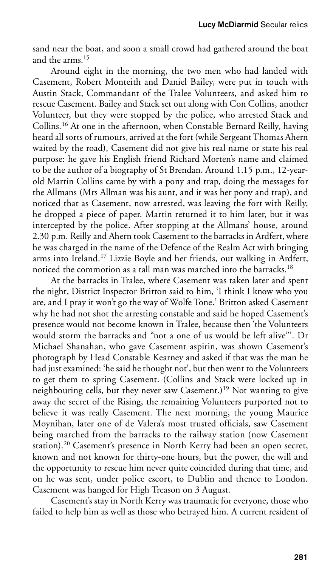sand near the boat, and soon a small crowd had gathered around the boat and the arms.<sup>15</sup>

Around eight in the morning, the two men who had landed with Casement, Robert Monteith and Daniel Bailey, were put in touch with Austin Stack, Commandant of the Tralee Volunteers, and asked him to rescue Casement. Bailey and Stack set out along with Con Collins, another Volunteer, but they were stopped by the police, who arrested Stack and Collins.<sup>16</sup> At one in the afternoon, when Constable Bernard Reilly, having heard all sorts of rumours, arrived at the fort (while Sergeant Thomas Ahern waited by the road), Casement did not give his real name or state his real purpose: he gave his English friend Richard Morten's name and claimed to be the author of a biography of St Brendan. Around 1.15 p.m., 12-yearold Martin Collins came by with a pony and trap, doing the messages for the Allmans (Mrs Allman was his aunt, and it was her pony and trap), and noticed that as Casement, now arrested, was leaving the fort with Reilly, he dropped a piece of paper. Martin returned it to him later, but it was intercepted by the police. After stopping at the Allmans' house, around 2.30 p.m. Reilly and Ahern took Casement to the barracks in Ardfert, where he was charged in the name of the Defence of the Realm Act with bringing arms into Ireland.<sup>17</sup> Lizzie Boyle and her friends, out walking in Ardfert, noticed the commotion as a tall man was marched into the barracks.<sup>18</sup>

At the barracks in Tralee, where Casement was taken later and spent the night, District Inspector Britton said to him, 'I think I know who you are, and I pray it won't go the way of Wolfe Tone.' Britton asked Casement why he had not shot the arresting constable and said he hoped Casement's presence would not become known in Tralee, because then 'the Volunteers would storm the barracks and "not a one of us would be left alive"'. Dr Michael Shanahan, who gave Casement aspirin, was shown Casement's photograph by Head Constable Kearney and asked if that was the man he had just examined: 'he said he thought not', but then went to the Volunteers to get them to spring Casement. (Collins and Stack were locked up in neighbouring cells, but they never saw Casement.)<sup>19</sup> Not wanting to give away the secret of the Rising, the remaining Volunteers purported not to believe it was really Casement. The next morning, the young Maurice Moynihan, later one of de Valera's most trusted officials, saw Casement being marched from the barracks to the railway station (now Casement station).<sup>20</sup> Casement's presence in North Kerry had been an open secret, known and not known for thirty-one hours, but the power, the will and the opportunity to rescue him never quite coincided during that time, and on he was sent, under police escort, to Dublin and thence to London. Casement was hanged for High Treason on 3 August.

Casement's stay in North Kerry was traumatic for everyone, those who failed to help him as well as those who betrayed him. A current resident of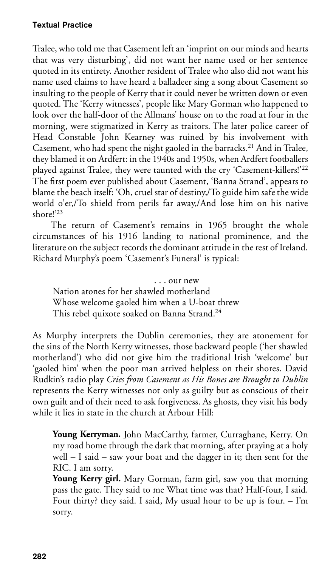Tralee, who told me that Casement left an 'imprint on our minds and hearts that was very disturbing', did not want her name used or her sentence quoted in its entirety. Another resident of Tralee who also did not want his name used claims to have heard a balladeer sing a song about Casement so insulting to the people of Kerry that it could never be written down or even quoted. The 'Kerry witnesses', people like Mary Gorman who happened to look over the half-door of the Allmans' house on to the road at four in the morning, were stigmatized in Kerry as traitors. The later police career of Head Constable John Kearney was ruined by his involvement with Casement, who had spent the night gaoled in the barracks.<sup>21</sup> And in Tralee, they blamed it on Ardfert: in the 1940s and 1950s, when Ardfert footballers played against Tralee, they were taunted with the cry 'Casement-killers!'<sup>22</sup> The first poem ever published about Casement, 'Banna Strand', appears to blame the beach itself: 'Oh, cruel star of destiny,/To guide him safe the wide world o'er,/To shield from perils far away,/And lose him on his native shore!'<sup>23</sup>

The return of Casement's remains in 1965 brought the whole circumstances of his 1916 landing to national prominence, and the literature on the subject records the dominant attitude in the rest of Ireland. Richard Murphy's poem 'Casement's Funeral' is typical:

. . . our new Nation atones for her shawled motherland Whose welcome gaoled him when a U-boat threw This rebel quixote soaked on Banna Strand.<sup>24</sup>

As Murphy interprets the Dublin ceremonies, they are atonement for the sins of the North Kerry witnesses, those backward people ('her shawled motherland') who did not give him the traditional Irish 'welcome' but 'gaoled him' when the poor man arrived helpless on their shores. David Rudkin's radio play *Cries from Casement as His Bones are Brought to Dublin* represents the Kerry witnesses not only as guilty but as conscious of their own guilt and of their need to ask forgiveness. As ghosts, they visit his body while it lies in state in the church at Arbour Hill:

**Young Kerryman.** John MacCarthy, farmer, Curraghane, Kerry. On my road home through the dark that morning, after praying at a holy well – I said – saw your boat and the dagger in it; then sent for the RIC. I am sorry.

**Young Kerry girl.** Mary Gorman, farm girl, saw you that morning pass the gate. They said to me What time was that? Half-four, I said. Four thirty? they said. I said, My usual hour to be up is four.  $-$  I'm sorry.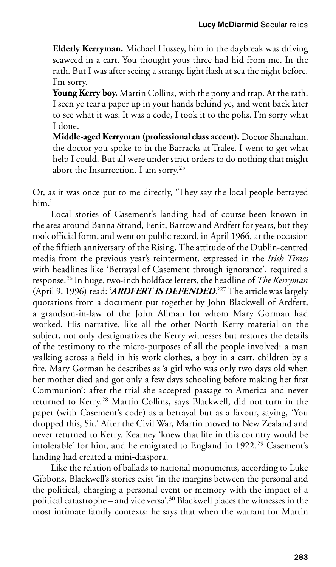**Elderly Kerryman.** Michael Hussey, him in the daybreak was driving seaweed in a cart. You thought yous three had hid from me. In the rath. But I was after seeing a strange light flash at sea the night before. I'm sorry.

**Young Kerry boy.** Martin Collins, with the pony and trap. At the rath. I seen ye tear a paper up in your hands behind ye, and went back later to see what it was. It was a code, I took it to the polis. I'm sorry what I done.

**Middle-aged Kerryman (professional class accent).** Doctor Shanahan, the doctor you spoke to in the Barracks at Tralee. I went to get what help I could. But all were under strict orders to do nothing that might abort the Insurrection. I am sorry.<sup>25</sup>

Or, as it was once put to me directly, 'They say the local people betrayed him'

Local stories of Casement's landing had of course been known in the area around Banna Strand, Fenit, Barrow and Ardfert for years, but they took official form, and went on public record, in April 1966, at the occasion of the ftieth anniversary of the Rising. The attitude of the Dublin-centred media from the previous year's reinterment, expressed in the *Irish Times* with headlines like 'Betrayal of Casement through ignorance', required a response.<sup>26</sup> In huge, two-inch boldface letters, the headline of *The Kerryman* (April 9, 1996) read: '*ARDFERT IS DEFENDED*.'<sup>27</sup> The article was largely quotations from a document put together by John Blackwell of Ardfert, a grandson-in-law of the John Allman for whom Mary Gorman had worked. His narrative, like all the other North Kerry material on the subject, not only destigmatizes the Kerry witnesses but restores the details of the testimony to the micro-purposes of all the people involved: a man walking across a field in his work clothes, a boy in a cart, children by a fire. Mary Gorman he describes as 'a girl who was only two days old when her mother died and got only a few days schooling before making her first Communion': after the trial she accepted passage to America and never returned to Kerry.<sup>28</sup> Martin Collins, says Blackwell, did not turn in the paper (with Casement's code) as a betrayal but as a favour, saying, 'You dropped this, Sir.' After the Civil War, Martin moved to New Zealand and never returned to Kerry. Kearney 'knew that life in this country would be intolerable' for him, and he emigrated to England in 1922.<sup>29</sup> Casement's landing had created a mini-diaspora.

Like the relation of ballads to national monuments, according to Luke Gibbons, Blackwell's stories exist 'in the margins between the personal and the political, charging a personal event or memory with the impact of a political catastrophe – and vice versa'.<sup>30</sup> Blackwell places the witnesses in the most intimate family contexts: he says that when the warrant for Martin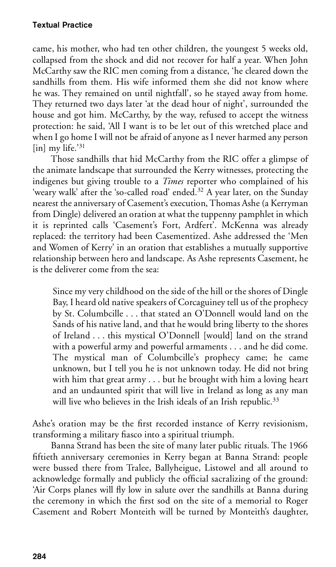came, his mother, who had ten other children, the youngest 5 weeks old, collapsed from the shock and did not recover for half a year. When John McCarthy saw the RIC men coming from a distance, 'he cleared down the sandhills from them. His wife informed them she did not know where he was. They remained on until nightfall', so he stayed away from home. They returned two days later 'at the dead hour of night', surrounded the house and got him. McCarthy, by the way, refused to accept the witness protection: he said, 'All I want is to be let out of this wretched place and when I go home I will not be afraid of anyone as I never harmed any person [in] my life.<sup>'31</sup>

Those sandhills that hid McCarthy from the RIC offer a glimpse of the animate landscape that surrounded the Kerry witnesses, protecting the indigenes but giving trouble to a *Times* reporter who complained of his 'weary walk' after the 'so-called road' ended.<sup>32</sup> A year later, on the Sunday nearest the anniversary of Casement's execution, Thomas Ashe (a Kerryman from Dingle) delivered an oration at what the tuppenny pamphlet in which it is reprinted calls 'Casement's Fort, Ardfert'. McKenna was already replaced: the territory had been Casementized. Ashe addressed the 'Men and Women of Kerry' in an oration that establishes a mutually supportive relationship between hero and landscape. As Ashe represents Casement, he is the deliverer come from the sea:

Since my very childhood on the side of the hill or the shores of Dingle Bay, I heard old native speakers of Corcaguiney tell us of the prophecy by St. Columbcille . . . that stated an O'Donnell would land on the Sands of his native land, and that he would bring liberty to the shores of Ireland . . . this mystical O'Donnell [would] land on the strand with a powerful army and powerful armaments . . . and he did come. The mystical man of Columbcille's prophecy came; he came unknown, but I tell you he is not unknown today. He did not bring with him that great army . . . but he brought with him a loving heart and an undaunted spirit that will live in Ireland as long as any man will live who believes in the Irish ideals of an Irish republic.<sup>33</sup>

Ashe's oration may be the first recorded instance of Kerry revisionism, transforming a military fiasco into a spiritual triumph.

Banna Strand has been the site of many later public rituals. The 1966 ftieth anniversary ceremonies in Kerry began at Banna Strand: people were bussed there from Tralee, Ballyheigue, Listowel and all around to acknowledge formally and publicly the official sacralizing of the ground: 'Air Corps planes will fly low in salute over the sandhills at Banna during the ceremony in which the first sod on the site of a memorial to Roger Casement and Robert Monteith will be turned by Monteith's daughter,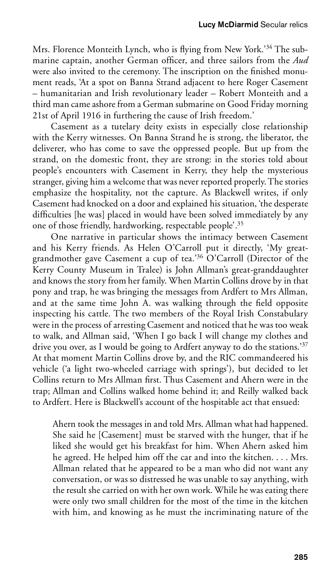Mrs. Florence Monteith Lynch, who is flying from New York.<sup>'34</sup> The submarine captain, another German officer, and three sailors from the *Aud* were also invited to the ceremony. The inscription on the finished monument reads, 'At a spot on Banna Strand adjacent to here Roger Casement – humanitarian and Irish revolutionary leader – Robert Monteith and a third man came ashore from a German submarine on Good Friday morning 21st of April 1916 in furthering the cause of Irish freedom.'

Casement as a tutelary deity exists in especially close relationship with the Kerry witnesses. On Banna Strand he is strong, the liberator, the deliverer, who has come to save the oppressed people. But up from the strand, on the domestic front, they are strong: in the stories told about people's encounters with Casement in Kerry, they help the mysterious stranger, giving him a welcome that was never reported properly. The stories emphasize the hospitality, not the capture. As Blackwell writes, if only Casement had knocked on a door and explained his situation, 'the desperate difficulties [he was] placed in would have been solved immediately by any one of those friendly, hardworking, respectable people'.<sup>35</sup>

One narrative in particular shows the intimacy between Casement and his Kerry friends. As Helen O'Carroll put it directly, 'My greatgrandmother gave Casement a cup of tea.'<sup>36</sup> O'Carroll (Director of the Kerry County Museum in Tralee) is John Allman's great-granddaughter and knows the story from her family. When Martin Collins drove by in that pony and trap, he was bringing the messages from Ardfert to Mrs Allman, and at the same time John A. was walking through the field opposite inspecting his cattle. The two members of the Royal Irish Constabulary were in the process of arresting Casement and noticed that he was too weak to walk, and Allman said, 'When I go back I will change my clothes and drive you over, as I would be going to Ardfert anyway to do the stations.<sup>37</sup> At that moment Martin Collins drove by, and the RIC commandeered his vehicle ('a light two-wheeled carriage with springs'), but decided to let Collins return to Mrs Allman first. Thus Casement and Ahern were in the trap; Allman and Collins walked home behind it; and Reilly walked back to Ardfert. Here is Blackwell's account of the hospitable act that ensued:

Ahern took the messages in and told Mrs. Allman what had happened. She said he [Casement] must be starved with the hunger, that if he liked she would get his breakfast for him. When Ahern asked him he agreed. He helped him off the car and into the kitchen. . . . Mrs. Allman related that he appeared to be a man who did not want any conversation, or was so distressed he was unable to say anything, with the result she carried on with her own work. While he was eating there were only two small children for the most of the time in the kitchen with him, and knowing as he must the incriminating nature of the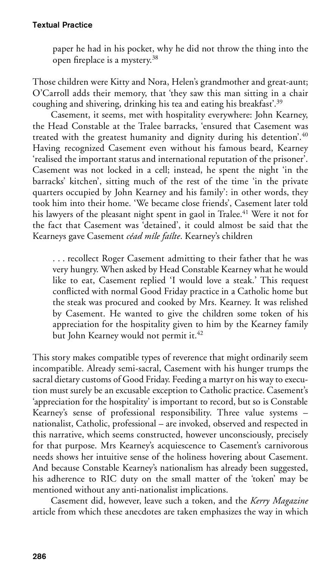paper he had in his pocket, why he did not throw the thing into the open fireplace is a mystery.<sup>38</sup>

Those children were Kitty and Nora, Helen's grandmother and great-aunt; O'Carroll adds their memory, that 'they saw this man sitting in a chair coughing and shivering, drinking his tea and eating his breakfast'.<sup>39</sup>

Casement, it seems, met with hospitality everywhere: John Kearney, the Head Constable at the Tralee barracks, 'ensured that Casement was treated with the greatest humanity and dignity during his detention'.<sup>40</sup> Having recognized Casement even without his famous beard, Kearney 'realised the important status and international reputation of the prisoner'. Casement was not locked in a cell; instead, he spent the night 'in the barracks' kitchen', sitting much of the rest of the time 'in the private quarters occupied by John Kearney and his family': in other words, they took him into their home. 'We became close friends', Casement later told his lawyers of the pleasant night spent in gaol in Tralee.<sup>41</sup> Were it not for the fact that Casement was 'detained', it could almost be said that the Kearneys gave Casement *céad míle faílte*. Kearney's children

. . . recollect Roger Casement admitting to their father that he was very hungry. When asked by Head Constable Kearney what he would like to eat, Casement replied 'I would love a steak.' This request conflicted with normal Good Friday practice in a Catholic home but the steak was procured and cooked by Mrs. Kearney. It was relished by Casement. He wanted to give the children some token of his appreciation for the hospitality given to him by the Kearney family but John Kearney would not permit it.<sup>42</sup>

This story makes compatible types of reverence that might ordinarily seem incompatible. Already semi-sacral, Casement with his hunger trumps the sacral dietary customs of Good Friday. Feeding a martyr on his way to execution must surely be an excusable exception to Catholic practice. Casement's 'appreciation for the hospitality' is important to record, but so is Constable Kearney's sense of professional responsibility. Three value systems – nationalist, Catholic, professional – are invoked, observed and respected in this narrative, which seems constructed, however unconsciously, precisely for that purpose. Mrs Kearney's acquiescence to Casement's carnivorous needs shows her intuitive sense of the holiness hovering about Casement. And because Constable Kearney's nationalism has already been suggested, his adherence to RIC duty on the small matter of the 'token' may be mentioned without any anti-nationalist implications.

Casement did, however, leave such a token, and the *Kerry Magazine* article from which these anecdotes are taken emphasizes the way in which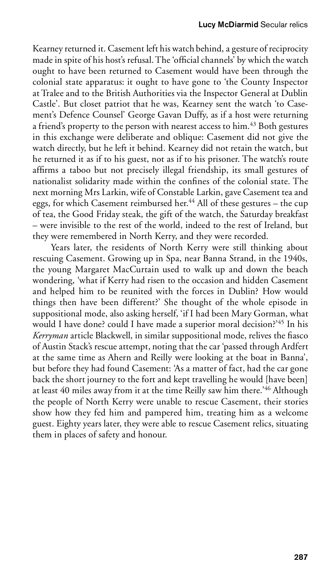Kearney returned it. Casement left his watch behind, a gesture of reciprocity made in spite of his host's refusal. The 'official channels' by which the watch ought to have been returned to Casement would have been through the colonial state apparatus: it ought to have gone to 'the County Inspector at Tralee and to the British Authorities via the Inspector General at Dublin Castle'. But closet patriot that he was, Kearney sent the watch 'to Casement's Defence Counsel' George Gavan Duffy, as if a host were returning a friend's property to the person with nearest access to him.<sup>43</sup> Both gestures in this exchange were deliberate and oblique: Casement did not give the watch directly, but he left it behind. Kearney did not retain the watch, but he returned it as if to his guest, not as if to his prisoner. The watch's route affirms a taboo but not precisely illegal friendship, its small gestures of nationalist solidarity made within the confines of the colonial state. The next morning Mrs Larkin, wife of Constable Larkin, gave Casement tea and eggs, for which Casement reimbursed her.<sup>44</sup> All of these gestures – the cup of tea, the Good Friday steak, the gift of the watch, the Saturday breakfast – were invisible to the rest of the world, indeed to the rest of Ireland, but they were remembered in North Kerry, and they were recorded.

Years later, the residents of North Kerry were still thinking about rescuing Casement. Growing up in Spa, near Banna Strand, in the 1940s, the young Margaret MacCurtain used to walk up and down the beach wondering, 'what if Kerry had risen to the occasion and hidden Casement and helped him to be reunited with the forces in Dublin? How would things then have been different?' She thought of the whole episode in suppositional mode, also asking herself, 'if I had been Mary Gorman, what would I have done? could I have made a superior moral decision?'<sup>45</sup> In his *Kerryman* article Blackwell, in similar suppositional mode, relives the fiasco of Austin Stack's rescue attempt, noting that the car 'passed through Ardfert at the same time as Ahern and Reilly were looking at the boat in Banna', but before they had found Casement: 'As a matter of fact, had the car gone back the short journey to the fort and kept travelling he would [have been] at least 40 miles away from it at the time Reilly saw him there.'<sup>46</sup> Although the people of North Kerry were unable to rescue Casement, their stories show how they fed him and pampered him, treating him as a welcome guest. Eighty years later, they were able to rescue Casement relics, situating them in places of safety and honour.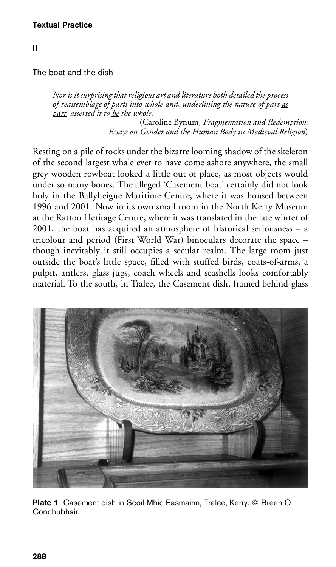The boat and the dish

*Nor is it surprising that religious art and literature both detailed the process of reassemblage of parts into whole and, underlining the nature of part as part, asserted it to be the whole.*

(Caroline Bynum, *Fragmentation and Redemption: Essays on Gender and the Human Body in Medieval Religion*)

Resting on a pile of rocks under the bizarre looming shadow of the skeleton of the second largest whale ever to have come ashore anywhere, the small grey wooden rowboat looked a little out of place, as most objects would under so many bones. The alleged 'Casement boat' certainly did not look holy in the Ballyheigue Maritime Centre, where it was housed between 1996 and 2001. Now in its own small room in the North Kerry Museum at the Rattoo Heritage Centre, where it was translated in the late winter of 2001, the boat has acquired an atmosphere of historical seriousness – a tricolour and period (First World War) binoculars decorate the space – though inevitably it still occupies a secular realm. The large room just outside the boat's little space, filled with stuffed birds, coats-of-arms, a pulpit, antlers, glass jugs, coach wheels and seashells looks comfortably material. To the south, in Tralee, the Casement dish, framed behind glass



Plate 1 Casement dish in Scoil Mhic Easmainn, Tralee, Kerry. © Breen Ó Conchubhair.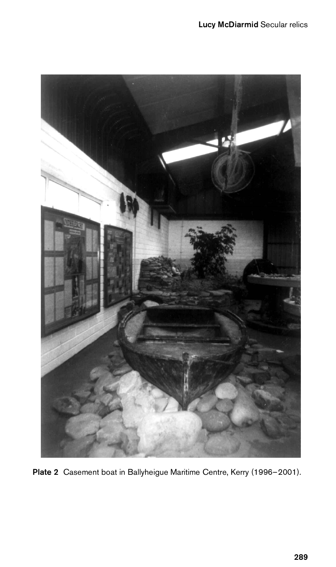

Plate 2 Casement boat in Ballyheigue Maritime Centre, Kerry (1996–2001).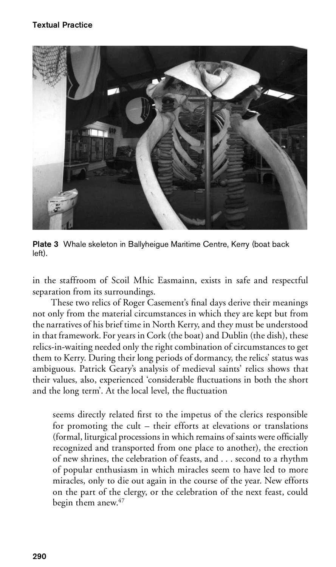

Plate 3 Whale skeleton in Ballyheigue Maritime Centre, Kerry (boat back left).

in the staffroom of Scoil Mhic Easmainn, exists in safe and respectful separation from its surroundings.

These two relics of Roger Casement's final days derive their meanings not only from the material circumstances in which they are kept but from the narratives of his brief time in North Kerry, and they must be understood in that framework. For years in Cork (the boat) and Dublin (the dish), these relics-in-waiting needed only the right combination of circumstances to get them to Kerry. During their long periods of dormancy, the relics' status was ambiguous. Patrick Geary's analysis of medieval saints' relics shows that their values, also, experienced 'considerable fluctuations in both the short and the long term'. At the local level, the fluctuation

seems directly related first to the impetus of the clerics responsible for promoting the cult – their efforts at elevations or translations (formal, liturgical processions in which remains of saints were officially recognized and transported from one place to another), the erection of new shrines, the celebration of feasts, and . . . second to a rhythm of popular enthusiasm in which miracles seem to have led to more miracles, only to die out again in the course of the year. New efforts on the part of the clergy, or the celebration of the next feast, could begin them anew.<sup>47</sup>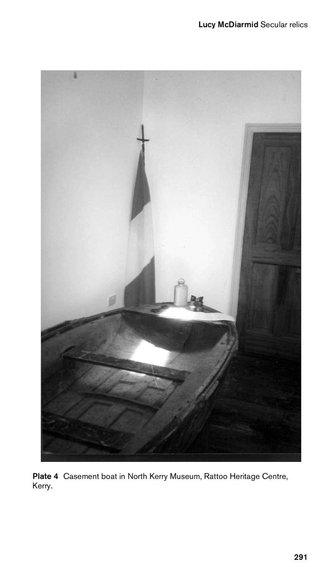

Plate 4 Casement boat in North Kerry Museum, Rattoo Heritage Centre, Kerry.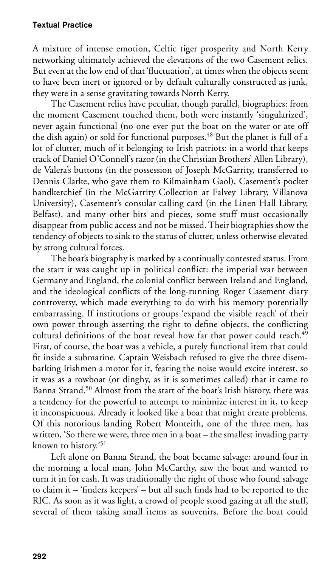A mixture of intense emotion, Celtic tiger prosperity and North Kerry networking ultimately achieved the elevations of the two Casement relics. But even at the low end of that 'fluctuation', at times when the objects seem to have been inert or ignored or by default culturally constructed as junk, they were in a sense gravitating towards North Kerry.

The Casement relics have peculiar, though parallel, biographies: from the moment Casement touched them, both were instantly 'singularized', never again functional (no one ever put the boat on the water or ate off the dish again) or sold for functional purposes.<sup>48</sup> But the planet is full of a lot of clutter, much of it belonging to Irish patriots: in a world that keeps track of Daniel O'Connell's razor (in the Christian Brothers' Allen Library), de Valera's buttons (in the possession of Joseph McGarrity, transferred to Dennis Clarke, who gave them to Kilmainham Gaol), Casement's pocket handkerchief (in the McGarrity Collection at Falvey Library, Villanova University), Casement's consular calling card (in the Linen Hall Library, Belfast), and many other bits and pieces, some stuff must occasionally disappear from public access and not be missed. Their biographies show the tendency of objects to sink to the status of clutter, unless otherwise elevated by strong cultural forces.

The boat's biography is marked by a continually contested status. From the start it was caught up in political conflict: the imperial war between Germany and England, the colonial conflict between Ireland and England, and the ideological conflicts of the long-running Roger Casement diary controversy, which made everything to do with his memory potentially embarrassing. If institutions or groups 'expand the visible reach' of their own power through asserting the right to define objects, the conflicting cultural definitions of the boat reveal how far that power could reach.<sup>49</sup> First, of course, the boat was a vehicle, a purely functional item that could fit inside a submarine. Captain Weisbach refused to give the three disembarking Irishmen a motor for it, fearing the noise would excite interest, so it was as a rowboat (or dinghy, as it is sometimes called) that it came to Banna Strand.<sup>50</sup> Almost from the start of the boat's Irish history, there was a tendency for the powerful to attempt to minimize interest in it, to keep it inconspicuous. Already it looked like a boat that might create problems. Of this notorious landing Robert Monteith, one of the three men, has written, 'So there we were, three men in a boat – the smallest invading party known to history.'<sup>51</sup>

Left alone on Banna Strand, the boat became salvage: around four in the morning a local man, John McCarthy, saw the boat and wanted to turn it in for cash. It was traditionally the right of those who found salvage to claim it – 'finders keepers' – but all such finds had to be reported to the RIC. As soon as it was light, a crowd of people stood gazing at all the stuff, several of them taking small items as souvenirs. Before the boat could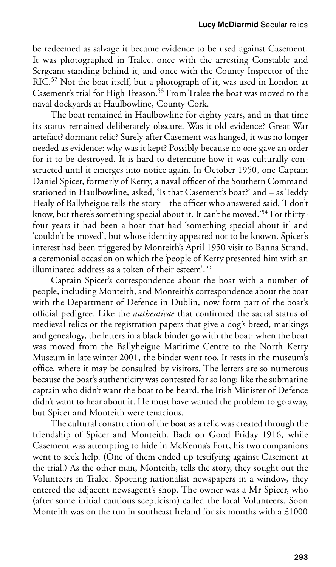be redeemed as salvage it became evidence to be used against Casement. It was photographed in Tralee, once with the arresting Constable and Sergeant standing behind it, and once with the County Inspector of the RIC.<sup>52</sup> Not the boat itself, but a photograph of it, was used in London at Casement's trial for High Treason.<sup>53</sup> From Tralee the boat was moved to the naval dockyards at Haulbowline, County Cork.

The boat remained in Haulbowline for eighty years, and in that time its status remained deliberately obscure. Was it old evidence? Great War artefact? dormant relic? Surely after Casement was hanged, it was no longer needed as evidence: why was it kept? Possibly because no one gave an order for it to be destroyed. It is hard to determine how it was culturally constructed until it emerges into notice again. In October 1950, one Captain Daniel Spicer, formerly of Kerry, a naval officer of the Southern Command stationed in Haulbowline, asked, 'Is that Casement's boat?' and – as Teddy Healy of Ballyheigue tells the story – the officer who answered said, 'I don't know, but there's something special about it. It can't be moved.'<sup>54</sup> For thirtyfour years it had been a boat that had 'something special about it' and 'couldn't be moved', but whose identity appeared not to be known. Spicer's interest had been triggered by Monteith's April 1950 visit to Banna Strand, a ceremonial occasion on which the 'people of Kerry presented him with an illuminated address as a token of their esteem'.<sup>55</sup>

Captain Spicer's correspondence about the boat with a number of people, including Monteith, and Monteith's correspondence about the boat with the Department of Defence in Dublin, now form part of the boat's official pedigree. Like the *authenticae* that confirmed the sacral status of medieval relics or the registration papers that give a dog's breed, markings and genealogy, the letters in a black binder go with the boat: when the boat was moved from the Ballyheigue Maritime Centre to the North Kerry Museum in late winter 2001, the binder went too. It rests in the museum's office, where it may be consulted by visitors. The letters are so numerous because the boat's authenticity was contested for so long: like the submarine captain who didn't want the boat to be heard, the Irish Minister of Defence didn't want to hear about it. He must have wanted the problem to go away, but Spicer and Monteith were tenacious.

The cultural construction of the boat as a relic was created through the friendship of Spicer and Monteith. Back on Good Friday 1916, while Casement was attempting to hide in McKenna's Fort, his two companions went to seek help. (One of them ended up testifying against Casement at the trial.) As the other man, Monteith, tells the story, they sought out the Volunteers in Tralee. Spotting nationalist newspapers in a window, they entered the adjacent newsagent's shop. The owner was a Mr Spicer, who (after some initial cautious scepticism) called the local Volunteers. Soon Monteith was on the run in southeast Ireland for six months with a £1000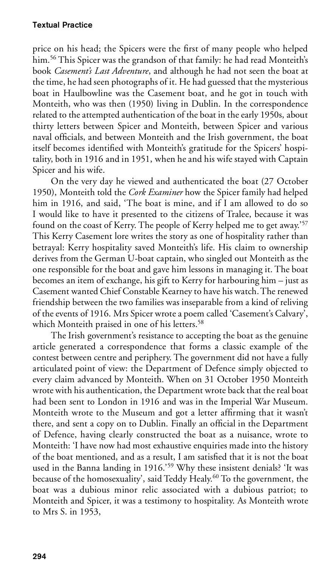price on his head; the Spicers were the first of many people who helped him.<sup>56</sup> This Spicer was the grandson of that family: he had read Monteith's book *Casement's Last Adventure*, and although he had not seen the boat at the time, he had seen photographs of it. He had guessed that the mysterious boat in Haulbowline was the Casement boat, and he got in touch with Monteith, who was then (1950) living in Dublin. In the correspondence related to the attempted authentication of the boat in the early 1950s, about thirty letters between Spicer and Monteith, between Spicer and various naval officials, and between Monteith and the Irish government, the boat itself becomes identified with Monteith's gratitude for the Spicers' hospitality, both in 1916 and in 1951, when he and his wife stayed with Captain Spicer and his wife.

On the very day he viewed and authenticated the boat (27 October 1950), Monteith told the *Cork Examiner* how the Spicer family had helped him in 1916, and said, 'The boat is mine, and if I am allowed to do so I would like to have it presented to the citizens of Tralee, because it was found on the coast of Kerry. The people of Kerry helped me to get away.'<sup>57</sup> This Kerry Casement lore writes the story as one of hospitality rather than betrayal: Kerry hospitality saved Monteith's life. His claim to ownership derives from the German U-boat captain, who singled out Monteith as the one responsible for the boat and gave him lessons in managing it. The boat becomes an item of exchange, his gift to Kerry for harbouring him – just as Casement wanted Chief Constable Kearney to have his watch. The renewed friendship between the two families was inseparable from a kind of reliving of the events of 1916. Mrs Spicer wrote a poem called 'Casement's Calvary', which Monteith praised in one of his letters.<sup>58</sup>

The Irish government's resistance to accepting the boat as the genuine article generated a correspondence that forms a classic example of the contest between centre and periphery. The government did not have a fully articulated point of view: the Department of Defence simply objected to every claim advanced by Monteith. When on 31 October 1950 Monteith wrote with his authentication, the Department wrote back that the real boat had been sent to London in 1916 and was in the Imperial War Museum. Monteith wrote to the Museum and got a letter affirming that it wasn't there, and sent a copy on to Dublin. Finally an official in the Department of Defence, having clearly constructed the boat as a nuisance, wrote to Monteith: 'I have now had most exhaustive enquiries made into the history of the boat mentioned, and as a result, I am satisfied that it is not the boat used in the Banna landing in 1916.'<sup>59</sup> Why these insistent denials? 'It was because of the homosexuality', said Teddy Healy.<sup>60</sup> To the government, the boat was a dubious minor relic associated with a dubious patriot; to Monteith and Spicer, it was a testimony to hospitality. As Monteith wrote to Mrs S. in 1953,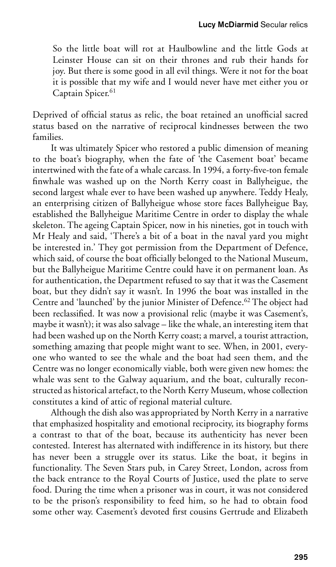So the little boat will rot at Haulbowline and the little Gods at Leinster House can sit on their thrones and rub their hands for joy. But there is some good in all evil things. Were it not for the boat it is possible that my wife and I would never have met either you or Captain Spicer.<sup>61</sup>

Deprived of official status as relic, the boat retained an unofficial sacred status based on the narrative of reciprocal kindnesses between the two families.

It was ultimately Spicer who restored a public dimension of meaning to the boat's biography, when the fate of 'the Casement boat' became intertwined with the fate of a whale carcass. In 1994, a forty-five-ton female nwhale was washed up on the North Kerry coast in Ballyheigue, the second largest whale ever to have been washed up anywhere. Teddy Healy, an enterprising citizen of Ballyheigue whose store faces Ballyheigue Bay, established the Ballyheigue Maritime Centre in order to display the whale skeleton. The ageing Captain Spicer, now in his nineties, got in touch with Mr Healy and said, 'There's a bit of a boat in the naval yard you might be interested in.' They got permission from the Department of Defence, which said, of course the boat officially belonged to the National Museum, but the Ballyheigue Maritime Centre could have it on permanent loan. As for authentication, the Department refused to say that it was the Casement boat, but they didn't say it wasn't. In 1996 the boat was installed in the Centre and 'launched' by the junior Minister of Defence.<sup>62</sup> The object had been reclassified. It was now a provisional relic (maybe it was Casement's, maybe it wasn't); it was also salvage – like the whale, an interesting item that had been washed up on the North Kerry coast; a marvel, a tourist attraction, something amazing that people might want to see. When, in 2001, every one who wanted to see the whale and the boat had seen them, and the Centre was no longer economically viable, both were given new homes: the whale was sent to the Galway aquarium, and the boat, culturally reconstructed as historical artefact, to the North Kerry Museum, whose collection constitutes a kind of attic of regional material culture.

Although the dish also was appropriated by North Kerry in a narrative that emphasized hospitality and emotional reciprocity, its biography forms a contrast to that of the boat, because its authenticity has never been contested. Interest has alternated with indifference in its history, but there has never been a struggle over its status. Like the boat, it begins in functionality. The Seven Stars pub, in Carey Street, London, across from the back entrance to the Royal Courts of Justice, used the plate to serve food. During the time when a prisoner was in court, it was not considered to be the prison's responsibility to feed him, so he had to obtain food some other way. Casement's devoted first cousins Gertrude and Elizabeth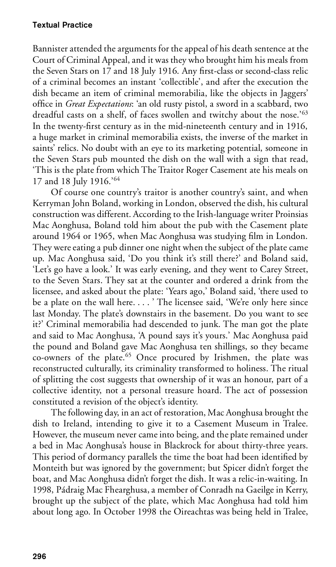Bannister attended the arguments for the appeal of his death sentence at the Court of Criminal Appeal, and it was they who brought him his meals from the Seven Stars on 17 and 18 July 1916. Any first-class or second-class relic of a criminal becomes an instant 'collectible', and after the execution the dish became an item of criminal memorabilia, like the objects in Jaggers' office in *Great Expectations*: 'an old rusty pistol, a sword in a scabbard, two dreadful casts on a shelf, of faces swollen and twitchy about the nose.'<sup>63</sup> In the twenty-first century as in the mid-nineteenth century and in 1916, a huge market in criminal memorabilia exists, the inverse of the market in saints' relics. No doubt with an eye to its marketing potential, someone in the Seven Stars pub mounted the dish on the wall with a sign that read, 'This is the plate from which The Traitor Roger Casement ate his meals on 17 and 18 July 1916.'<sup>64</sup>

Of course one country's traitor is another country's saint, and when Kerryman John Boland, working in London, observed the dish, his cultural construction was different. According to the Irish-language writer Proinsias Mac Aonghusa, Boland told him about the pub with the Casement plate around 1964 or 1965, when Mac Aonghusa was studying film in London. They were eating a pub dinner one night when the subject of the plate came up. Mac Aonghusa said, 'Do you think it's still there?' and Boland said, 'Let's go have a look.' It was early evening, and they went to Carey Street, to the Seven Stars. They sat at the counter and ordered a drink from the licensee, and asked about the plate: 'Years ago,' Boland said, 'there used to be a plate on the wall here. . . . ' The licensee said, 'We're only here since last Monday. The plate's downstairs in the basement. Do you want to see it?' Criminal memorabilia had descended to junk. The man got the plate and said to Mac Aonghusa, 'A pound says it's yours.' Mac Aonghusa paid the pound and Boland gave Mac Aonghusa ten shillings, so they became co-owners of the plate.<sup>65</sup> Once procured by Irishmen, the plate was reconstructed culturally, its criminality transformed to holiness. The ritual of splitting the cost suggests that ownership of it was an honour, part of a collective identity, not a personal treasure hoard. The act of possession constituted a revision of the object's identity.

The following day, in an act of restoration, Mac Aonghusa brought the dish to Ireland, intending to give it to a Casement Museum in Tralee. However, the museum never came into being, and the plate remained under a bed in Mac Aonghusa's house in Blackrock for about thirty-three years. This period of dormancy parallels the time the boat had been identified by Monteith but was ignored by the government; but Spicer didn't forget the boat, and Mac Aonghusa didn't forget the dish. It was a relic-in-waiting. In 1998, Pádraig Mac Fhearghusa, a member of Conradh na Gaeilge in Kerry, brought up the subject of the plate, which Mac Aonghusa had told him about long ago. In October 1998 the Oireachtas was being held in Tralee,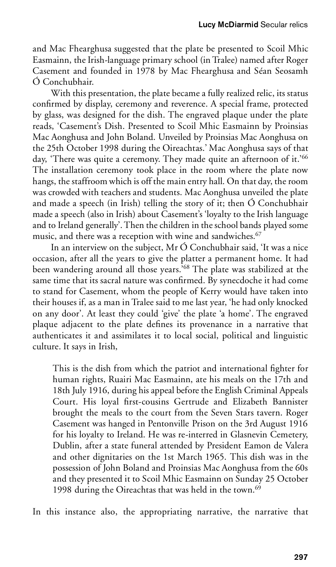and Mac Fhearghusa suggested that the plate be presented to Scoil Mhic Easmainn, the Irish-language primary school (in Tralee) named after Roger Casement and founded in 1978 by Mac Fhearghusa and Séan Seosamh Ó Conchubhair.

With this presentation, the plate became a fully realized relic, its status confirmed by display, ceremony and reverence. A special frame, protected by glass, was designed for the dish. The engraved plaque under the plate reads, 'Casement's Dish. Presented to Scoil Mhic Easmainn by Proinsias Mac Aonghusa and John Boland. Unveiled by Proinsias Mac Aonghusa on the 25th October 1998 during the Oireachtas.' Mac Aonghusa says of that day, 'There was quite a ceremony. They made quite an afternoon of it.'<sup>66</sup> The installation ceremony took place in the room where the plate now hangs, the staffroom which is off the main entry hall. On that day, the room was crowded with teachers and students. Mac Aonghusa unveiled the plate and made a speech (in Irish) telling the story of it; then Ó Conchubhair made a speech (also in Irish) about Casement's 'loyalty to the Irish language and to Ireland generally'. Then the children in the school bands played some music, and there was a reception with wine and sandwiches.<sup>67</sup>

In an interview on the subject, Mr Ó Conchubhair said, 'It was a nice occasion, after all the years to give the platter a permanent home. It had been wandering around all those years.'<sup>68</sup> The plate was stabilized at the same time that its sacral nature was confirmed. By synecdoche it had come to stand for Casement, whom the people of Kerry would have taken into their houses if, as a man in Tralee said to me last year, 'he had only knocked on any door'. At least they could 'give' the plate 'a home'. The engraved plaque adjacent to the plate defines its provenance in a narrative that authenticates it and assimilates it to local social, political and linguistic culture. It says in Irish,

This is the dish from which the patriot and international fighter for human rights, Ruairi Mac Easmainn, ate his meals on the 17th and 18th July 1916, during his appeal before the English Criminal Appeals Court. His loyal first-cousins Gertrude and Elizabeth Bannister brought the meals to the court from the Seven Stars tavern. Roger Casement was hanged in Pentonville Prison on the 3rd August 1916 for his loyalty to Ireland. He was re-interred in Glasnevin Cemetery, Dublin, after a state funeral attended by President Eamon de Valera and other dignitaries on the 1st March 1965. This dish was in the possession of John Boland and Proinsias Mac Aonghusa from the 60s and they presented it to Scoil Mhic Easmainn on Sunday 25 October 1998 during the Oireachtas that was held in the town.<sup>69</sup>

In this instance also, the appropriating narrative, the narrative that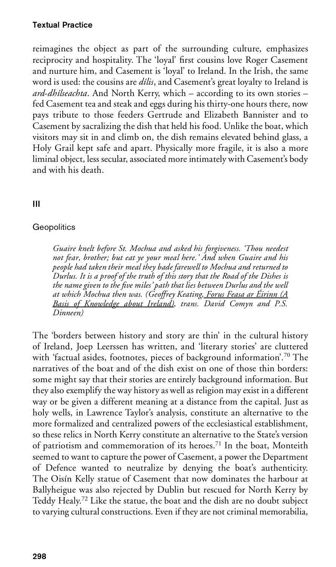reimagines the object as part of the surrounding culture, emphasizes reciprocity and hospitality. The 'loyal' first cousins love Roger Casement and nurture him, and Casement is 'loyal' to Ireland. In the Irish, the same word is used: the cousins are *dílis*, and Casement's great loyalty to Ireland is *ard*-*dhílseachta*. And North Kerry, which – according to its own stories – fed Casement tea and steak and eggs during his thirty-one hours there, now pays tribute to those feeders Gertrude and Elizabeth Bannister and to Casement by sacralizing the dish that held his food. Unlike the boat, which visitors may sit in and climb on, the dish remains elevated behind glass, a Holy Grail kept safe and apart. Physically more fragile, it is also a more liminal object, less secular, associated more intimately with Casement's body and with his death.

# III

# **Geopolitics**

*Guaire knelt before St. Mochua and asked his forgiveness. 'Thou needest not fear, brother; but eat ye your meal here.' And when Guaire and his people had taken their meal they bade farewell to Mochua and returned to Durlus. It is a proof of the truth of this story that the Road of the Dishes is the name given to the five miles' path that lies between Durlus and the well at which Mochua then was. (Geoffrey Keating, Forus Feasa ar Éirinn (A Basis of Knowledge about Ireland)*, *trans. David Comyn and P.S. Dinneen)*

The 'borders between history and story are thin' in the cultural history of Ireland, Joep Leerssen has written, and 'literary stories' are cluttered with 'factual asides, footnotes, pieces of background information'.<sup>70</sup> The narratives of the boat and of the dish exist on one of those thin borders: some might say that their stories are entirely background information. But they also exemplify the way history as well as religion may exist in a different way or be given a different meaning at a distance from the capital. Just as holy wells, in Lawrence Taylor's analysis, constitute an alternative to the more formalized and centralized powers of the ecclesiastical establishment, so these relics in North Kerry constitute an alternative to the State's version of patriotism and commemoration of its heroes.<sup>71</sup> In the boat, Monteith seemed to want to capture the power of Casement, a power the Department of Defence wanted to neutralize by denying the boat's authenticity. The Oisín Kelly statue of Casement that now dominates the harbour at Ballyheigue was also rejected by Dublin but rescued for North Kerry by Teddy Healy.<sup>72</sup> Like the statue, the boat and the dish are no doubt subject to varying cultural constructions. Even if they are not criminal memorabilia,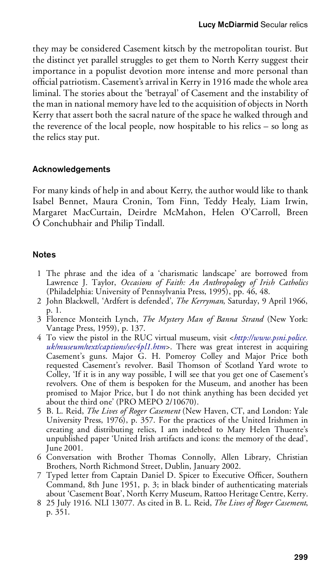they may be considered Casement kitsch by the metropolitan tourist. But the distinct yet parallel struggles to get them to North Kerry suggest their importance in a populist devotion more intense and more personal than official patriotism. Casement's arrival in Kerry in 1916 made the whole area liminal. The stories about the 'betrayal' of Casement and the instability of the man in national memory have led to the acquisition of objects in North Kerry that assert both the sacral nature of the space he walked through and the reverence of the local people, now hospitable to his relics – so long as the relics stay put.

#### Acknowledgements

For many kinds of help in and about Kerry, the author would like to thank Isabel Bennet, Maura Cronin, Tom Finn, Teddy Healy, Liam Irwin, Margaret MacCurtain, Deirdre McMahon, Helen O'Carroll, Breen Ó Conchubhair and Philip Tindall.

# Notes

- 1 The phrase and the idea of a 'charismatic landscape' are borrowed from Lawrence J. Taylor, *Occasions of Faith: An Anthropology of Irish Catholics* (Philadelphia: University of Pennsylvania Press, 1995), pp. 46, 48.
- 2 John Blackwell, 'Ardfert is defended', *The Kerryman*, Saturday, 9 April 1966, p. 1.
- 3 Florence Monteith Lynch, *The Mystery Man of Banna Strand* (New York: Vantage Press, 1959), p. 137.
- 4 To view the pistol in the RUC virtual museum, visit <*[http://www.psni.police.](http://www.psni.police.uk/museum/text/captions/sec4pl1.htm) [uk/museum/text/captions/sec4pl1.htm](http://www.psni.police.uk/museum/text/captions/sec4pl1.htm)*>. There was great interest in acquiring Casement's guns. Major G. H. Pomeroy Colley and Major Price both requested Casement's revolver. Basil Thomson of Scotland Yard wrote to Colley, 'If it is in any way possible, I will see that you get one of Casement's revolvers. One of them is bespoken for the Museum, and another has been promised to Major Price, but I do not think anything has been decided yet about the third one' (PRO MEPO 2/10670).
- 5 B. L. Reid, *The Lives of Roger Casement* (New Haven, CT, and London: Yale University Press, 1976), p. 357. For the practices of the United Irishmen in creating and distributing relics, I am indebted to Mary Helen Thuente's unpublished paper 'United Irish artifacts and icons: the memory of the dead', June 2001.
- 6 Conversation with Brother Thomas Connolly, Allen Library, Christian Brothers, North Richmond Street, Dublin, January 2002.
- 7 Typed letter from Captain Daniel D. Spicer to Executive Officer, Southern Command, 8th June 1951, p. 3; in black binder of authenticating materials about 'Casement Boat', North Kerry Museum, Rattoo Heritage Centre, Kerry.
- 8 25 July 1916. NLI 13077. As cited in B. L. Reid, *The Lives of Roger Casement*, p. 351.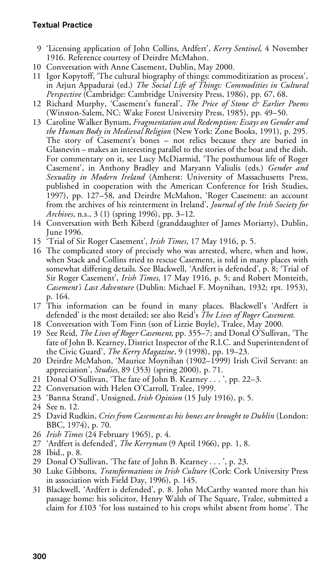- 9 'Licensing application of John Collins, Ardfert', *Kerry Sentinel*, 4 November 1916. Reference courtesy of Deirdre McMahon.
- 10 Conversation with Anne Casement, Dublin, May 2000.
- 11 Igor Kopytoff, 'The cultural biography of things: commoditization as process', in Arjun Appadurai (ed.) *The Social Life of Things: Commodities in Cultural Perspective* (Cambridge: Cambridge University Press, 1986), pp. 67, 68.
- 12 Richard Murphy, 'Casement's funeral', *The Price of Stone & Earlier Poems* (Winston-Salem, NC: Wake Forest University Press, 1985), pp. 49–50.
- 13 Caroline Walker Bynum, *Fragmentation and Redemption: Essays on Gender and the Human Body in Medieval Religion* (New York: Zone Books, 1991), p. 295. The story of Casement's bones – not relics because they are buried in Glasnevin – makes an interesting parallel to the stories of the boat and the dish. For commentary on it, see Lucy McDiarmid, 'The posthumous life of Roger Casement', in Anthony Bradley and Maryann Valiulis (eds.) *Gender and Sexuality in Modern Ireland* (Amherst: University of Massachusetts Press, published in cooperation with the American Conference for Irish Studies, 1997), pp. 127–58, and Deirdre McMahon, 'Roger Casement: an account from the archives of his reinterment in Ireland', *Journal of the Irish Society for Archives*, n.s., 3 (1) (spring 1996), pp. 3–12.
- 14 Conversation with Beth Kiberd (granddaughter of James Moriarty), Dublin, June 1996.
- 15 'Trial of Sir Roger Casement', *Irish Times*, 17 May 1916, p. 5.
- 16 The complicated story of precisely who was arrested, where, when and how, when Stack and Collins tried to rescue Casement, is told in many places with somewhat differing details. See Blackwell, 'Ardfert is defended', p. 8; 'Trial of Sir Roger Casement', *Irish Times*, 17 May 1916, p. 5; and Robert Monteith, *Casement's Last Adventure* (Dublin: Michael F. Moynihan, 1932; rpt. 1953), p. 164.
- 17 This information can be found in many places. Blackwell's 'Ardfert is defended' is the most detailed; see also Reid's *The Lives of Roger Casement*.
- 18 Conversation with Tom Finn (son of Lizzie Boyle), Tralee, May 2000.
- 19 See Reid, *The Lives of Roger Casement*, pp. 355–7; and Donal O'Sullivan, 'The fate of John B. Kearney, District Inspector of the R.I.C. and Superintendent of the Civic Guard', *The Kerry Magazine*, 9 (1998), pp. 19–23.
- 20 Deirdre McMahon, 'Maurice Moynihan (1902–1999) Irish Civil Servant: an appreciation', *Studies*, 89 (353) (spring 2000), p. 71.
- 21 Donal O'Sullivan, 'The fate of John B. Kearney . . . ', pp. 22–3.
- 22 Conversation with Helen O'Carroll, Tralee, 1999.
- 23 'Banna Strand', Unsigned, *Irish Opinion* (15 July 1916), p. 5.
- 24 See n. 12.
- 25 David Rudkin, *Cries from Casement as his bones are brought to Dublin* (London: BBC, 1974), p. 70.
- 26 *Irish Times* (24 February 1965), p. 4.
- 27 'Ardfert is defended', *The Kerryman* (9 April 1966), pp. 1, 8.
- 28 Ibid., p. 8.
- 29 Donal O'Sullivan, 'The fate of John B. Kearney . . . ', p. 23.
- 30 Luke Gibbons, *Transformations in Irish Culture* (Cork: Cork University Press in association with Field Day, 1996), p. 145.
- 31 Blackwell, 'Ardfert is defended', p. 8. John McCarthy wanted more than his passage home: his solicitor, Henry Walsh of The Square, Tralee, submitted a claim for £103 'for loss sustained to his crops whilst absent from home'. The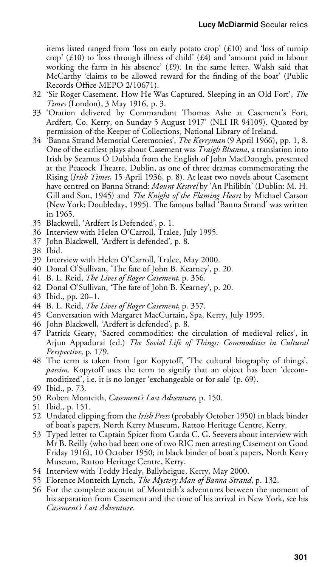items listed ranged from 'loss on early potato crop' (£10) and 'loss of turnip crop' (£10) to 'loss through illness of child' ( $\angle$ 4) and 'amount paid in labour working the farm in his absence' (£9). In the same letter, Walsh said that McCarthy 'claims to be allowed reward for the finding of the boat' (Public Records Office MEPO 2/10671).

- 32 'Sir Roger Casement. How He Was Captured. Sleeping in an Old Fort', *The Times* (London), 3 May 1916, p. 3.
- 33 'Oration delivered by Commandant Thomas Ashe at Casement's Fort, Ardfert, Co. Kerry, on Sunday 5 August 1917' (NLI IR 94109). Quoted by permission of the Keeper of Collections, National Library of Ireland.
- 34 'Banna Strand Memorial Ceremonies', *The Kerryman* (9 April 1966), pp. 1, 8. One of the earliest plays about Casement was *Traigh Bhanna*, a translation into Irish by Seamus Ó Dubhda from the English of John MacDonagh, presented at the Peacock Theatre, Dublin, as one of three dramas commemorating the Rising (*Irish Times*, 15 April 1936, p. 8). At least two novels about Casement have centred on Banna Strand: *Mount Kestrel* by 'An Philibín' (Dublin: M. H. Gill and Son, 1945) and *The Knight of the Flaming Heart* by Michael Carson (New York: Doubleday, 1995). The famous ballad 'Banna Strand' was written in 1965.
- 35 Blackwell, 'Ardfert Is Defended', p. 1.
- 36 Interview with Helen O'Carroll, Tralee, July 1995.
- 37 John Blackwell, 'Ardfert is defended', p. 8.
- 38 Ibid.
- 39 Interview with Helen O'Carroll, Tralee, May 2000.
- 40 Donal O'Sullivan, 'The fate of John B. Kearney', p. 20.
- 41 B. L. Reid, *The Lives of Roger Casement*, p. 356.
- 42 Donal O'Sullivan, 'The fate of John B. Kearney', p. 20.
- 43 Ibid., pp. 20–1.
- 44 B. L. Reid, *The Lives of Roger Casement*, p. 357.
- 45 Conversation with Margaret MacCurtain, Spa, Kerry, July 1995.
- 46 John Blackwell, 'Ardfert is defended', p. 8.
- 47 Patrick Geary, 'Sacred commodities: the circulation of medieval relics', in Arjun Appadurai (ed.) *The Social Life of Things: Commodities in Cultural Perspective*, p. 179.
- 48 The term is taken from Igor Kopytoff, 'The cultural biography of things', *passim*. Kopytoff uses the term to signify that an object has been 'decommoditized', i.e. it is no longer 'exchangeable or for sale' (p. 69).
- 49 Ibid., p. 73.
- 50 Robert Monteith, *Casement's Last Adventure*, p. 150.
- 51 Ibid., p. 151.
- 52 Undated clipping from the *Irish Press* (probably October 1950) in black binder of boat's papers, North Kerry Museum, Rattoo Heritage Centre, Kerry.
- 53 Typed letter to Captain Spicer from Garda C. G. Seevers about interview with Mr B. Reilly (who had been one of two RIC men arresting Casement on Good Friday 1916), 10 October 1950; in black binder of boat's papers, North Kerry Museum, Rattoo Heritage Centre, Kerry.
- 54 Interview with Teddy Healy, Ballyheigue, Kerry, May 2000.
- 55 Florence Monteith Lynch, *The Mystery Man of Banna Strand*, p. 132.
- 56 For the complete account of Monteith's adventures between the moment of his separation from Casement and the time of his arrival in New York, see his *Casement's Last Adventure*.